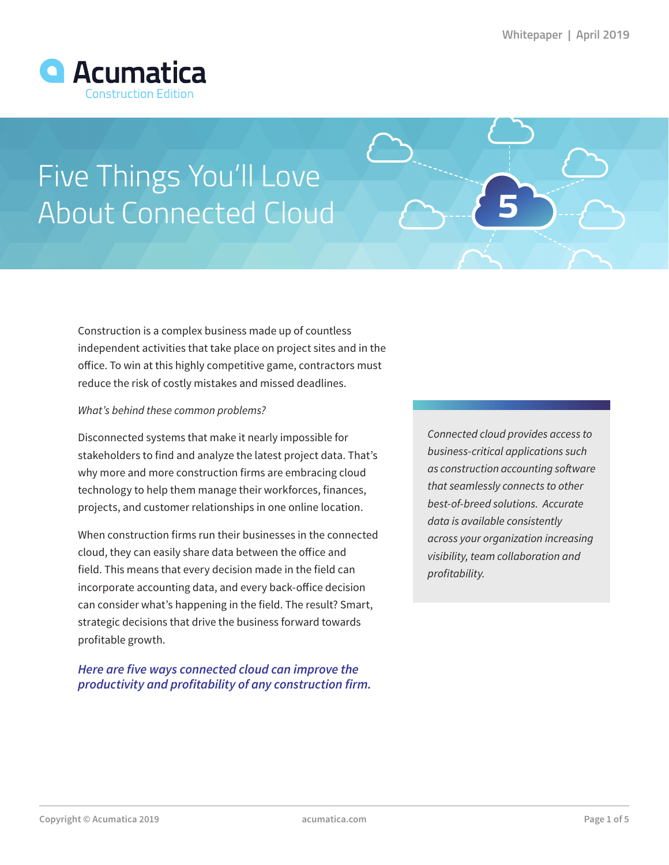

# Five Things You'll Love About Connected Cloud

Construction is a complex business made up of countless independent activities that take place on project sites and in the office. To win at this highly competitive game, contractors must reduce the risk of costly mistakes and missed deadlines.

#### *What's behind these common problems?*

Disconnected systems that make it nearly impossible for stakeholders to find and analyze the latest project data. That's why more and more construction firms are embracing cloud technology to help them manage their workforces, finances, projects, and customer relationships in one online location.

When construction firms run their businesses in the connected cloud, they can easily share data between the office and field. This means that every decision made in the field can incorporate accounting data, and every back-office decision can consider what's happening in the field. The result? Smart, strategic decisions that drive the business forward towards profitable growth.

### *Here are five ways connected cloud can improve the productivity and profitability of any construction firm.*

*Connected cloud provides access to business-critical applications such as construction accounting software that seamlessly connects to other best-of-breed solutions. Accurate data is available consistently across your organization increasing visibility, team collaboration and profitability.*

**5**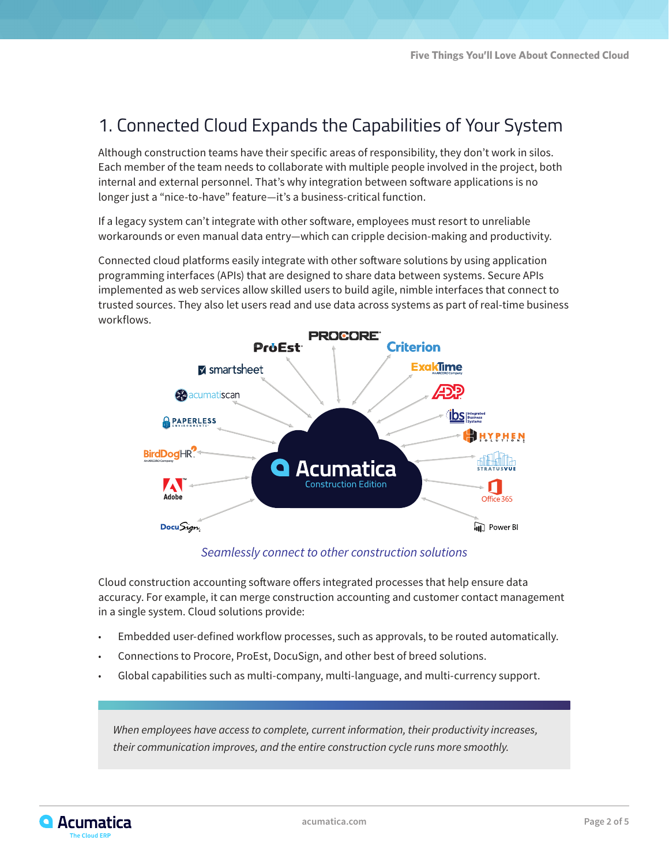# 1. Connected Cloud Expands the Capabilities of Your System

Although construction teams have their specific areas of responsibility, they don't work in silos. Each member of the team needs to collaborate with multiple people involved in the project, both internal and external personnel. That's why integration between software applications is no longer just a "nice-to-have" feature—it's a business-critical function.

If a legacy system can't integrate with other software, employees must resort to unreliable workarounds or even manual data entry—which can cripple decision-making and productivity.

Connected cloud platforms easily integrate with other software solutions by using application programming interfaces (APIs) that are designed to share data between systems. Secure APIs implemented as web services allow skilled users to build agile, nimble interfaces that connect to trusted sources. They also let users read and use data across systems as part of real-time business workflows.



*Seamlessly connect to other construction solutions*

Cloud construction accounting software offers integrated processes that help ensure data accuracy. For example, it can merge construction accounting and customer contact management in a single system. Cloud solutions provide:

- Embedded user-defined workflow processes, such as approvals, to be routed automatically.
- Connections to Procore, ProEst, DocuSign, and other best of breed solutions.
- Global capabilities such as multi-company, multi-language, and multi-currency support.

*When employees have access to complete, current information, their productivity increases, their communication improves, and the entire construction cycle runs more smoothly.*

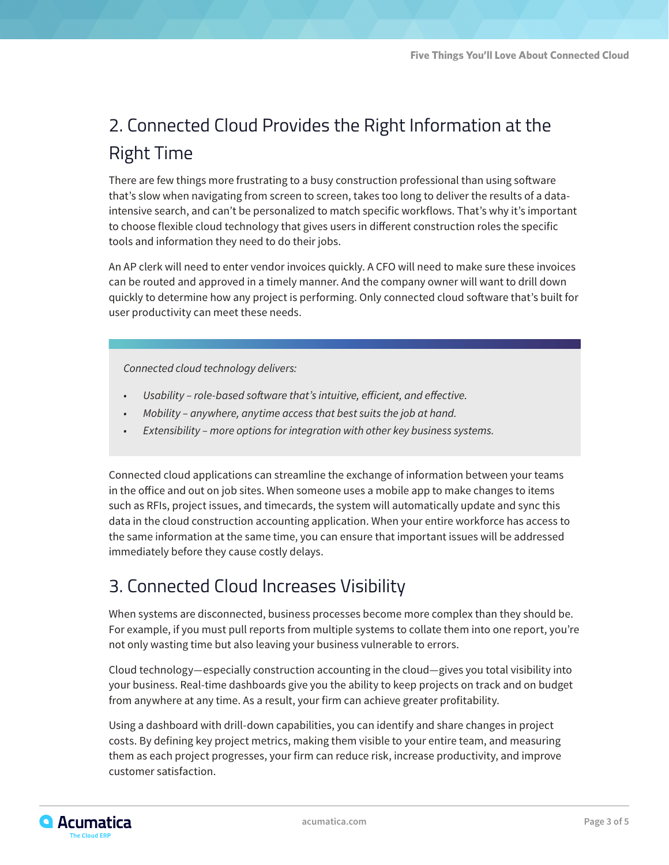# 2. Connected Cloud Provides the Right Information at the Right Time

There are few things more frustrating to a busy construction professional than using software that's slow when navigating from screen to screen, takes too long to deliver the results of a dataintensive search, and can't be personalized to match specific workflows. That's why it's important to choose flexible cloud technology that gives users in different construction roles the specific tools and information they need to do their jobs.

An AP clerk will need to enter vendor invoices quickly. A CFO will need to make sure these invoices can be routed and approved in a timely manner. And the company owner will want to drill down quickly to determine how any project is performing. Only connected cloud software that's built for user productivity can meet these needs.

*Connected cloud technology delivers:* 

- *• Usability role-based software that's intuitive, efficient, and effective.*
- *• Mobility anywhere, anytime access that best suits the job at hand.*
- *• Extensibility more options for integration with other key business systems.*

Connected cloud applications can streamline the exchange of information between your teams in the office and out on job sites. When someone uses a mobile app to make changes to items such as RFIs, project issues, and timecards, the system will automatically update and sync this data in the cloud construction accounting application. When your entire workforce has access to the same information at the same time, you can ensure that important issues will be addressed immediately before they cause costly delays.

# 3. Connected Cloud Increases Visibility

When systems are disconnected, business processes become more complex than they should be. For example, if you must pull reports from multiple systems to collate them into one report, you're not only wasting time but also leaving your business vulnerable to errors.

Cloud technology—especially construction accounting in the cloud—gives you total visibility into your business. Real-time dashboards give you the ability to keep projects on track and on budget from anywhere at any time. As a result, your firm can achieve greater profitability.

Using a dashboard with drill-down capabilities, you can identify and share changes in project costs. By defining key project metrics, making them visible to your entire team, and measuring them as each project progresses, your firm can reduce risk, increase productivity, and improve customer satisfaction.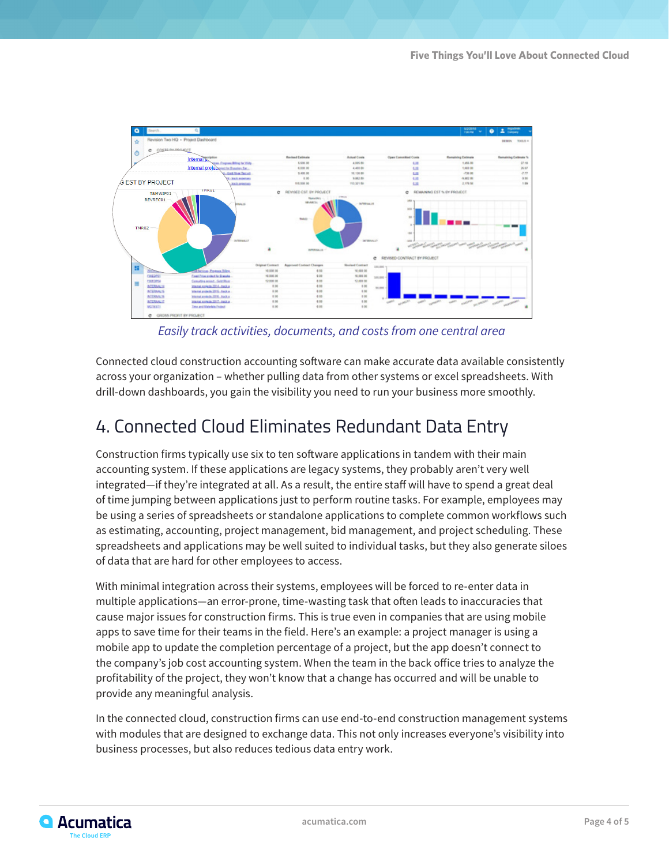

*Easily track activities, documents, and costs from one central area*

Connected cloud construction accounting software can make accurate data available consistently across your organization – whether pulling data from other systems or excel spreadsheets. With drill-down dashboards, you gain the visibility you need to run your business more smoothly.

# 4. Connected Cloud Eliminates Redundant Data Entry

Construction firms typically use six to ten software applications in tandem with their main accounting system. If these applications are legacy systems, they probably aren't very well integrated—if they're integrated at all. As a result, the entire staff will have to spend a great deal of time jumping between applications just to perform routine tasks. For example, employees may be using a series of spreadsheets or standalone applications to complete common workflows such as estimating, accounting, project management, bid management, and project scheduling. These spreadsheets and applications may be well suited to individual tasks, but they also generate siloes of data that are hard for other employees to access.

With minimal integration across their systems, employees will be forced to re-enter data in multiple applications—an error-prone, time-wasting task that often leads to inaccuracies that cause major issues for construction firms. This is true even in companies that are using mobile apps to save time for their teams in the field. Here's an example: a project manager is using a mobile app to update the completion percentage of a project, but the app doesn't connect to the company's job cost accounting system. When the team in the back office tries to analyze the profitability of the project, they won't know that a change has occurred and will be unable to provide any meaningful analysis.

In the connected cloud, construction firms can use end-to-end construction management systems with modules that are designed to exchange data. This not only increases everyone's visibility into business processes, but also reduces tedious data entry work.